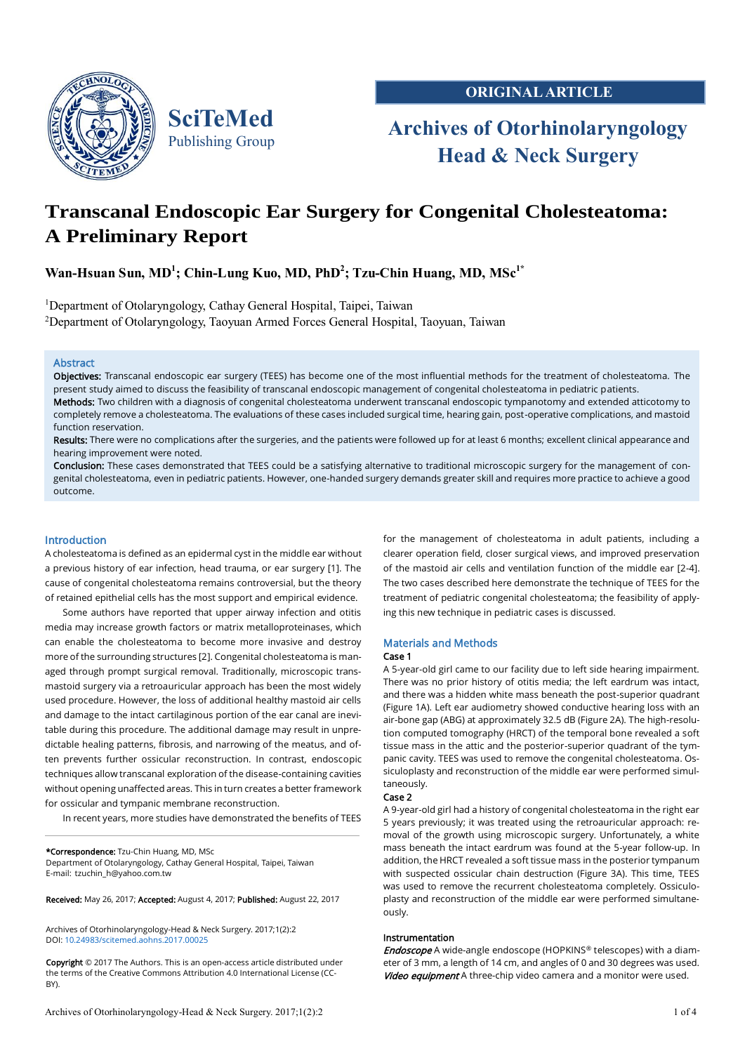



**ORIGINALARTICLE**

# **Archives of Otorhinolaryngology Head & Neck Surgery**

# **Transcanal Endoscopic Ear Surgery for Congenital Cholesteatoma: A Preliminary Report**

**Wan-Hsuan Sun, MD<sup>1</sup> ; Chin-Lung Kuo, MD, PhD<sup>2</sup> ; Tzu-Chin Huang, MD, MSc1\***

<sup>1</sup>Department of Otolaryngology, Cathay General Hospital, Taipei, Taiwan <sup>2</sup>Department of Otolaryngology, Taoyuan Armed Forces General Hospital, Taoyuan, Taiwan

# Abstract

Objectives: Transcanal endoscopic ear surgery (TEES) has become one of the most influential methods for the treatment of cholesteatoma. The present study aimed to discuss the feasibility of transcanal endoscopic management of congenital cholesteatoma in pediatric patients. Methods: Two children with a diagnosis of congenital cholesteatoma underwent transcanal endoscopic tympanotomy and extended atticotomy to completely remove a cholesteatoma. The evaluations of these cases included surgical time, hearing gain, post-operative complications, and mastoid

function reservation.

Results: There were no complications after the surgeries, and the patients were followed up for at least 6 months; excellent clinical appearance and hearing improvement were noted.

Conclusion: These cases demonstrated that TEES could be a satisfying alternative to traditional microscopic surgery for the management of congenital cholesteatoma, even in pediatric patients. However, one-handed surgery demands greater skill and requires more practice to achieve a good outcome.

# Introduction

A cholesteatoma is defined as an epidermal cyst in the middle ear without a previous history of ear infection, head trauma, or ear surgery [1]. The cause of congenital cholesteatoma remains controversial, but the theory of retained epithelial cells has the most support and empirical evidence.

Some authors have reported that upper airway infection and otitis media may increase growth factors or matrix metalloproteinases, which can enable the cholesteatoma to become more invasive and destroy more of the surrounding structures [2]. Congenital cholesteatoma is managed through prompt surgical removal. Traditionally, microscopic transmastoid surgery via a retroauricular approach has been the most widely used procedure. However, the loss of additional healthy mastoid air cells and damage to the intact cartilaginous portion of the ear canal are inevitable during this procedure. The additional damage may result in unpredictable healing patterns, fibrosis, and narrowing of the meatus, and often prevents further ossicular reconstruction. In contrast, endoscopic techniques allow transcanal exploration of the disease-containing cavities without opening unaffected areas. This in turn creates a better framework for ossicular and tympanic membrane reconstruction.

In recent years, more studies have demonstrated the benefits of TEES

\*Correspondence: Tzu-Chin Huang, MD, MSc Department of Otolaryngology, Cathay General Hospital, Taipei, Taiwan E-mail: tzuchin\_h@yahoo.com.tw

Received: May 26, 2017; Accepted: August 4, 2017; Published: August 22, 2017

Archives of Otorhinolaryngology-Head & Neck Surgery. 2017;1(2):2 DOI: [10.24983/scitemed.aohns.2017.00025](https://doi.org/10.24983/scitemed.aohns.2017.00025)

Copyright © 2017 The Authors. This is an open-access article distributed under the terms of the Creative Commons Attribution 4.0 International License (CC-BY).

for the management of cholesteatoma in adult patients, including a clearer operation field, closer surgical views, and improved preservation of the mastoid air cells and ventilation function of the middle ear [2-4]. The two cases described here demonstrate the technique of TEES for the treatment of pediatric congenital cholesteatoma; the feasibility of applying this new technique in pediatric cases is discussed.

### Materials and Methods

#### Case 1

A 5-year-old girl came to our facility due to left side hearing impairment. There was no prior history of otitis media; the left eardrum was intact, and there was a hidden white mass beneath the post-superior quadrant (Figure 1A). Left ear audiometry showed conductive hearing loss with an air-bone gap (ABG) at approximately 32.5 dB (Figure 2A). The high-resolution computed tomography (HRCT) of the temporal bone revealed a soft tissue mass in the attic and the posterior-superior quadrant of the tympanic cavity. TEES was used to remove the congenital cholesteatoma. Ossiculoplasty and reconstruction of the middle ear were performed simultaneously.

#### Case 2

A 9-year-old girl had a history of congenital cholesteatoma in the right ear 5 years previously; it was treated using the retroauricular approach: removal of the growth using microscopic surgery. Unfortunately, a white mass beneath the intact eardrum was found at the 5-year follow-up. In addition, the HRCT revealed a soft tissue mass in the posterior tympanum with suspected ossicular chain destruction (Figure 3A). This time, TEES was used to remove the recurrent cholesteatoma completely. Ossiculoplasty and reconstruction of the middle ear were performed simultaneously.

#### Instrumentation

*Endoscope* A wide-angle endoscope (HOPKINS® telescopes) with a diameter of 3 mm, a length of 14 cm, and angles of 0 and 30 degrees was used. Video equipment A three-chip video camera and a monitor were used.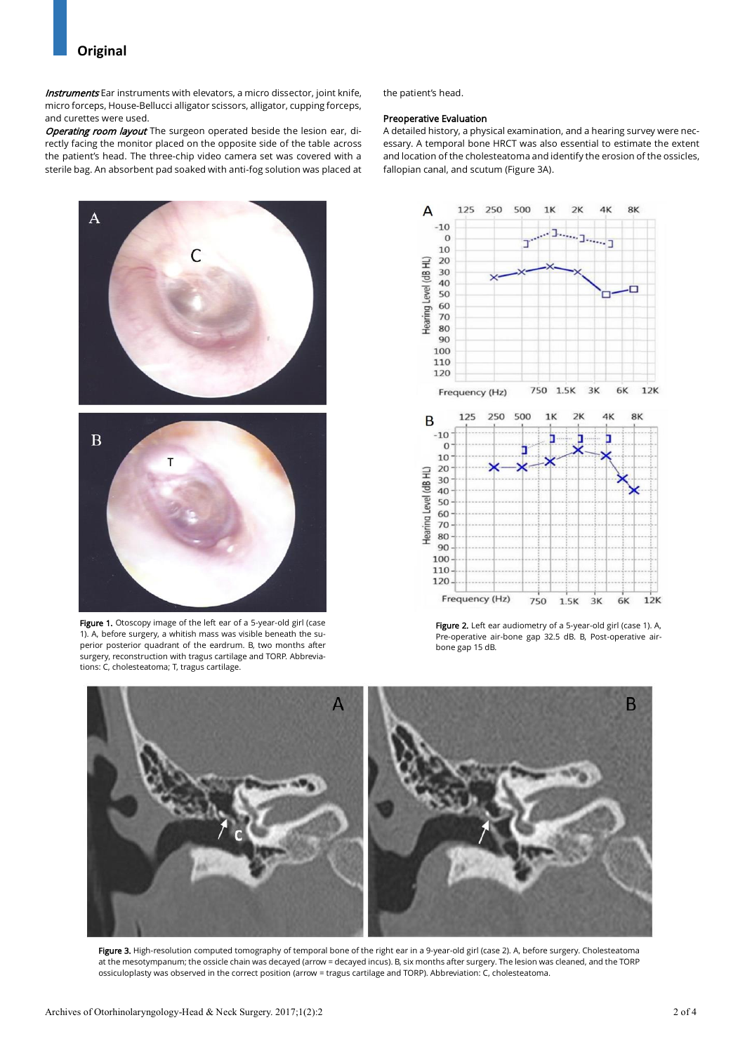Instruments Ear instruments with elevators, a micro dissector, joint knife, micro forceps, House-Bellucci alligator scissors, alligator, cupping forceps, and curettes were used.

Operating room layout The surgeon operated beside the lesion ear, directly facing the monitor placed on the opposite side of the table across the patient's head. The three-chip video camera set was covered with a sterile bag. An absorbent pad soaked with anti-fog solution was placed at



Figure 1. Otoscopy image of the left ear of a 5-year-old girl (case 1). A, before surgery, a whitish mass was visible beneath the superior posterior quadrant of the eardrum. B, two months after surgery, reconstruction with tragus cartilage and TORP. Abbreviations: C, cholesteatoma; T, tragus cartilage.

the patient's head.

#### Preoperative Evaluation

A detailed history, a physical examination, and a hearing survey were necessary. A temporal bone HRCT was also essential to estimate the extent and location of the cholesteatoma and identify the erosion of the ossicles, fallopian canal, and scutum (Figure 3A).



Figure 2. Left ear audiometry of a 5-year-old girl (case 1). A, Pre-operative air-bone gap 32.5 dB. B, Post-operative airbone gap 15 dB.



Figure 3. High-resolution computed tomography of temporal bone of the right ear in a 9-year-old girl (case 2). A, before surgery. Cholesteatoma at the mesotympanum; the ossicle chain was decayed (arrow = decayed incus). B, six months after surgery. The lesion was cleaned, and the TORP ossiculoplasty was observed in the correct position (arrow = tragus cartilage and TORP). Abbreviation: C, cholesteatoma.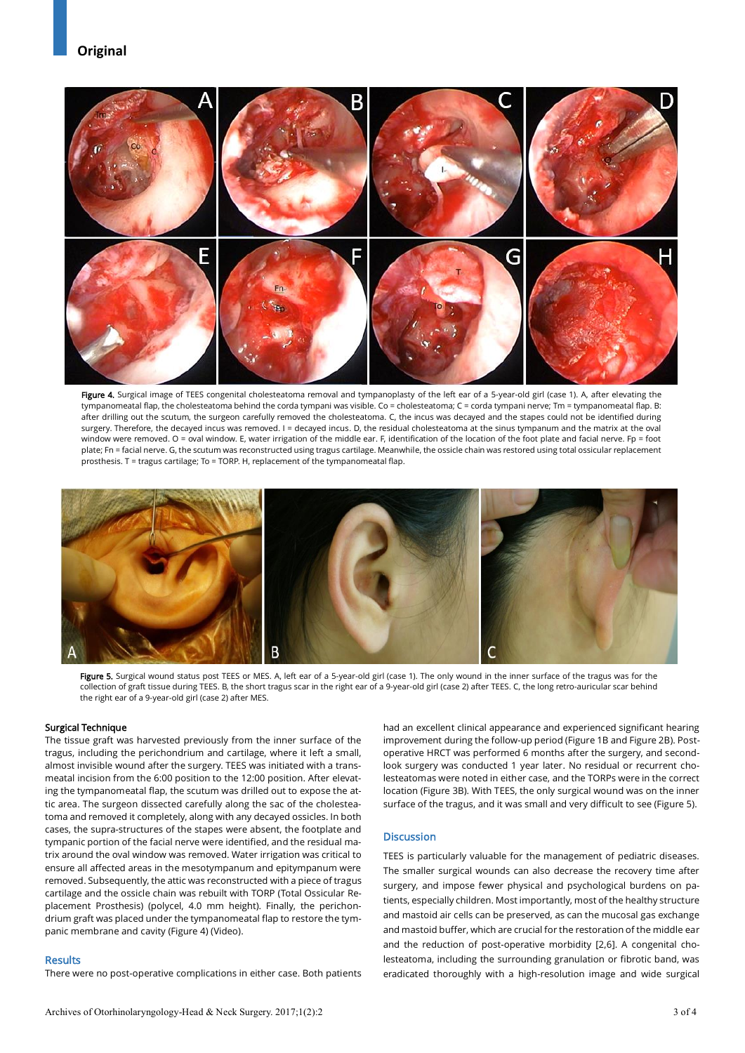

Figure 4. Surgical image of TEES congenital cholesteatoma removal and tympanoplasty of the left ear of a 5-year-old girl (case 1). A, after elevating the tympanomeatal flap, the cholesteatoma behind the corda tympani was visible. Co = cholesteatoma; C = corda tympani nerve; Tm = tympanomeatal flap. B: after drilling out the scutum, the surgeon carefully removed the cholesteatoma. C, the incus was decayed and the stapes could not be identified during surgery. Therefore, the decayed incus was removed. I = decayed incus. D, the residual cholesteatoma at the sinus tympanum and the matrix at the oval window were removed. O = oval window. E, water irrigation of the middle ear. F, identification of the location of the foot plate and facial nerve. Fp = foot plate; Fn = facial nerve. G, the scutum was reconstructed using tragus cartilage. Meanwhile, the ossicle chain was restored using total ossicular replacement prosthesis. T = tragus cartilage; To = TORP. H, replacement of the tympanomeatal flap.



Figure 5. Surgical wound status post TEES or MES. A, left ear of a 5-year-old girl (case 1). The only wound in the inner surface of the tragus was for the collection of graft tissue during TEES. B, the short tragus scar in the right ear of a 9-year-old girl (case 2) after TEES. C, the long retro-auricular scar behind the right ear of a 9-year-old girl (case 2) after MES.

#### Surgical Technique

The tissue graft was harvested previously from the inner surface of the tragus, including the perichondrium and cartilage, where it left a small, almost invisible wound after the surgery. TEES was initiated with a transmeatal incision from the 6:00 position to the 12:00 position. After elevating the tympanomeatal flap, the scutum was drilled out to expose the attic area. The surgeon dissected carefully along the sac of the cholesteatoma and removed it completely, along with any decayed ossicles. In both cases, the supra-structures of the stapes were absent, the footplate and tympanic portion of the facial nerve were identified, and the residual matrix around the oval window was removed. Water irrigation was critical to ensure all affected areas in the mesotympanum and epitympanum were removed. Subsequently, the attic was reconstructed with a piece of tragus cartilage and the ossicle chain was rebuilt with TORP (Total Ossicular Replacement Prosthesis) (polycel, 4.0 mm height). Finally, the perichondrium graft was placed under the tympanomeatal flap to restore the tympanic membrane and cavity (Figure 4) (Video).

#### Results

There were no post-operative complications in either case. Both patients

had an excellent clinical appearance and experienced significant hearing improvement during the follow-up period (Figure 1B and Figure 2B). Postoperative HRCT was performed 6 months after the surgery, and secondlook surgery was conducted 1 year later. No residual or recurrent cholesteatomas were noted in either case, and the TORPs were in the correct location (Figure 3B). With TEES, the only surgical wound was on the inner surface of the tragus, and it was small and very difficult to see (Figure 5).

# **Discussion**

TEES is particularly valuable for the management of pediatric diseases. The smaller surgical wounds can also decrease the recovery time after surgery, and impose fewer physical and psychological burdens on patients, especially children. Most importantly, most of the healthy structure and mastoid air cells can be preserved, as can the mucosal gas exchange and mastoid buffer, which are crucial for the restoration of the middle ear and the reduction of post-operative morbidity [2,6]. A congenital cholesteatoma, including the surrounding granulation or fibrotic band, was eradicated thoroughly with a high-resolution image and wide surgical